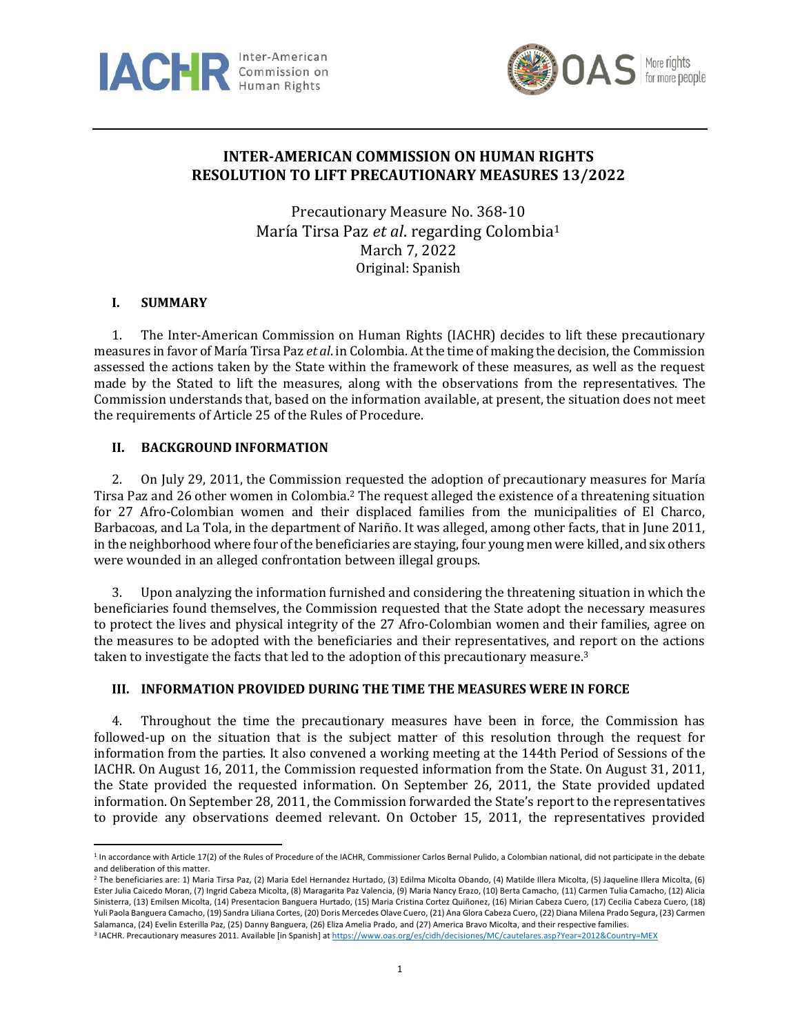



# **INTER-AMERICAN COMMISSION ON HUMAN RIGHTS RESOLUTION TO LIFT PRECAUTIONARY MEASURES 13/2022**

Precautionary Measure No. 368-10 María Tirsa Paz *et al*. regarding Colombia<sup>1</sup> March 7, 2022 Original: Spanish

# **I. SUMMARY**

1. The Inter-American Commission on Human Rights (IACHR) decides to lift these precautionary measures in favor of María Tirsa Paz *et al*. in Colombia. At the time of making the decision, the Commission assessed the actions taken by the State within the framework of these measures, as well as the request made by the Stated to lift the measures, along with the observations from the representatives. The Commission understands that, based on the information available, at present, the situation does not meet the requirements of Article 25 of the Rules of Procedure.

# **II. BACKGROUND INFORMATION**

2. On July 29, 2011, the Commission requested the adoption of precautionary measures for María Tirsa Paz and 26 other women in Colombia. <sup>2</sup> The request alleged the existence of a threatening situation for 27 Afro-Colombian women and their displaced families from the municipalities of El Charco, Barbacoas, and La Tola, in the department of Nariño. It was alleged, among other facts, that in June 2011, in the neighborhood where four of the beneficiaries are staying, four young men were killed, and six others were wounded in an alleged confrontation between illegal groups.

3. Upon analyzing the information furnished and considering the threatening situation in which the beneficiaries found themselves, the Commission requested that the State adopt the necessary measures to protect the lives and physical integrity of the 27 Afro-Colombian women and their families, agree on the measures to be adopted with the beneficiaries and their representatives, and report on the actions taken to investigate the facts that led to the adoption of this precautionary measure. 3

# **III. INFORMATION PROVIDED DURING THE TIME THE MEASURES WERE IN FORCE**

4. Throughout the time the precautionary measures have been in force, the Commission has followed-up on the situation that is the subject matter of this resolution through the request for information from the parties. It also convened a working meeting at the 144th Period of Sessions of the IACHR. On August 16, 2011, the Commission requested information from the State. On August 31, 2011, the State provided the requested information. On September 26, 2011, the State provided updated information. On September 28, 2011, the Commission forwarded the State's report to the representatives to provide any observations deemed relevant. On October 15, 2011, the representatives provided

<sup>&</sup>lt;sup>1</sup> In accordance with Article 17(2) of the Rules of Procedure of the IACHR, Commissioner Carlos Bernal Pulido, a Colombian national, did not participate in the debate and deliberation of this matter.

<sup>2</sup> The beneficiaries are: 1) Maria Tirsa Paz, (2) Maria Edel Hernandez Hurtado, (3) Edilma Micolta Obando, (4) Matilde Illera Micolta, (5) Jaqueline Illera Micolta, (6) Ester Julia Caicedo Moran, (7) Ingrid Cabeza Micolta, (8) Maragarita Paz Valencia, (9) Maria Nancy Erazo, (10) Berta Camacho, (11) Carmen Tulia Camacho, (12) Alicia Sinisterra, (13) Emilsen Micolta, (14) Presentacion Banguera Hurtado, (15) Maria Cristina Cortez Quiñonez, (16) Mirian Cabeza Cuero, (17) Cecilia Cabeza Cuero, (18) Yuli Paola Banguera Camacho, (19) Sandra Liliana Cortes, (20) Doris Mercedes Olave Cuero, (21) Ana Glora Cabeza Cuero, (22) Diana Milena Prado Segura, (23) Carmen Salamanca, (24) Evelin Esterilla Paz, (25) Danny Banguera, (26) Eliza Amelia Prado, and (27) America Bravo Micolta, and their respective families.

<sup>&</sup>lt;sup>3</sup> IACHR. Precautionary measures 2011. Available [in Spanish] a[t https://www.oas.org/es/cidh/decisiones/MC/cautelares.asp?Year=2012&Country=MEX](https://www.oas.org/es/cidh/decisiones/MC/cautelares.asp?Year=2011&Country=COL)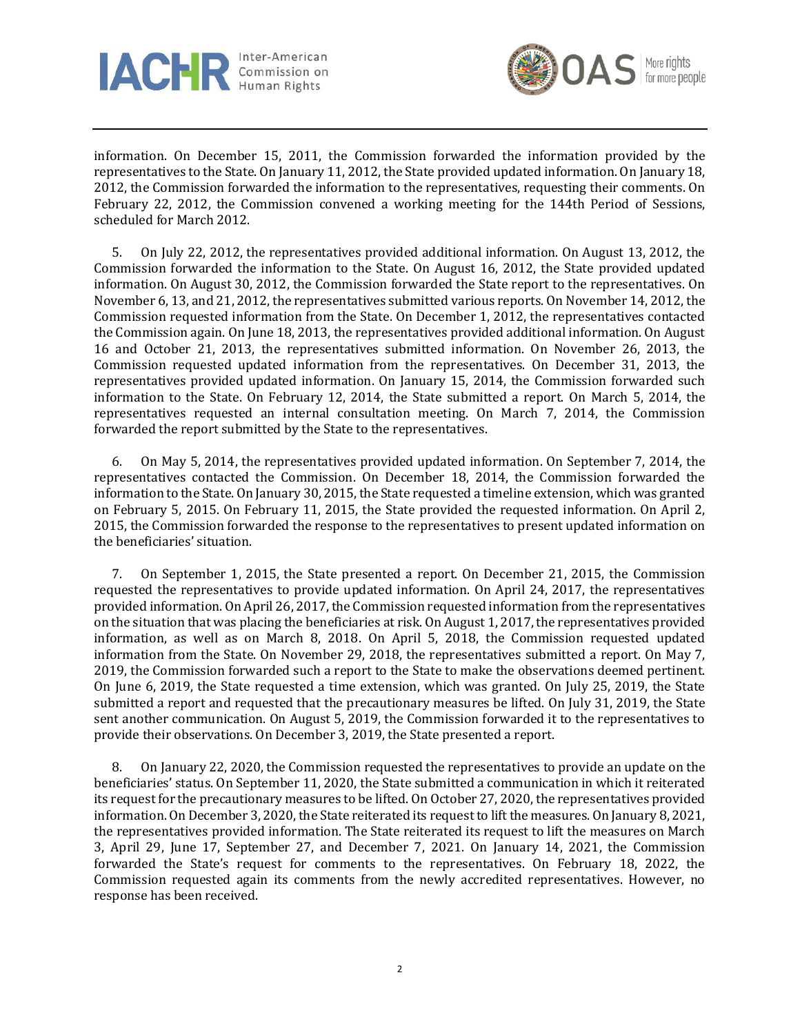



information. On December 15, 2011, the Commission forwarded the information provided by the representatives to the State. On January 11, 2012, the State provided updated information. On January 18, 2012, the Commission forwarded the information to the representatives, requesting their comments. On February 22, 2012, the Commission convened a working meeting for the 144th Period of Sessions, scheduled for March 2012.

5. On July 22, 2012, the representatives provided additional information. On August 13, 2012, the Commission forwarded the information to the State. On August 16, 2012, the State provided updated information. On August 30, 2012, the Commission forwarded the State report to the representatives. On November 6, 13, and 21, 2012, the representatives submitted various reports. On November 14, 2012, the Commission requested information from the State. On December 1, 2012, the representatives contacted the Commission again. On June 18, 2013, the representatives provided additional information. On August 16 and October 21, 2013, the representatives submitted information. On November 26, 2013, the Commission requested updated information from the representatives. On December 31, 2013, the representatives provided updated information. On January 15, 2014, the Commission forwarded such information to the State. On February 12, 2014, the State submitted a report. On March 5, 2014, the representatives requested an internal consultation meeting. On March 7, 2014, the Commission forwarded the report submitted by the State to the representatives.

6. On May 5, 2014, the representatives provided updated information. On September 7, 2014, the representatives contacted the Commission. On December 18, 2014, the Commission forwarded the information to the State. On January 30, 2015, the State requested a timeline extension, which was granted on February 5, 2015. On February 11, 2015, the State provided the requested information. On April 2, 2015, the Commission forwarded the response to the representatives to present updated information on the beneficiaries' situation.

7. On September 1, 2015, the State presented a report. On December 21, 2015, the Commission requested the representatives to provide updated information. On April 24, 2017, the representatives provided information. On April 26, 2017, the Commission requested information from the representatives on the situation that was placing the beneficiaries at risk. On August 1, 2017, the representatives provided information, as well as on March 8, 2018. On April 5, 2018, the Commission requested updated information from the State. On November 29, 2018, the representatives submitted a report. On May 7, 2019, the Commission forwarded such a report to the State to make the observations deemed pertinent. On June 6, 2019, the State requested a time extension, which was granted. On July 25, 2019, the State submitted a report and requested that the precautionary measures be lifted. On July 31, 2019, the State sent another communication. On August 5, 2019, the Commission forwarded it to the representatives to provide their observations. On December 3, 2019, the State presented a report.

8. On January 22, 2020, the Commission requested the representatives to provide an update on the beneficiaries' status. On September 11, 2020, the State submitted a communication in which it reiterated its request for the precautionary measures to be lifted. On October 27, 2020, the representatives provided information. On December 3, 2020, the State reiterated its request to lift the measures. On January 8, 2021, the representatives provided information. The State reiterated its request to lift the measures on March 3, April 29, June 17, September 27, and December 7, 2021. On January 14, 2021, the Commission forwarded the State's request for comments to the representatives. On February 18, 2022, the Commission requested again its comments from the newly accredited representatives. However, no response has been received.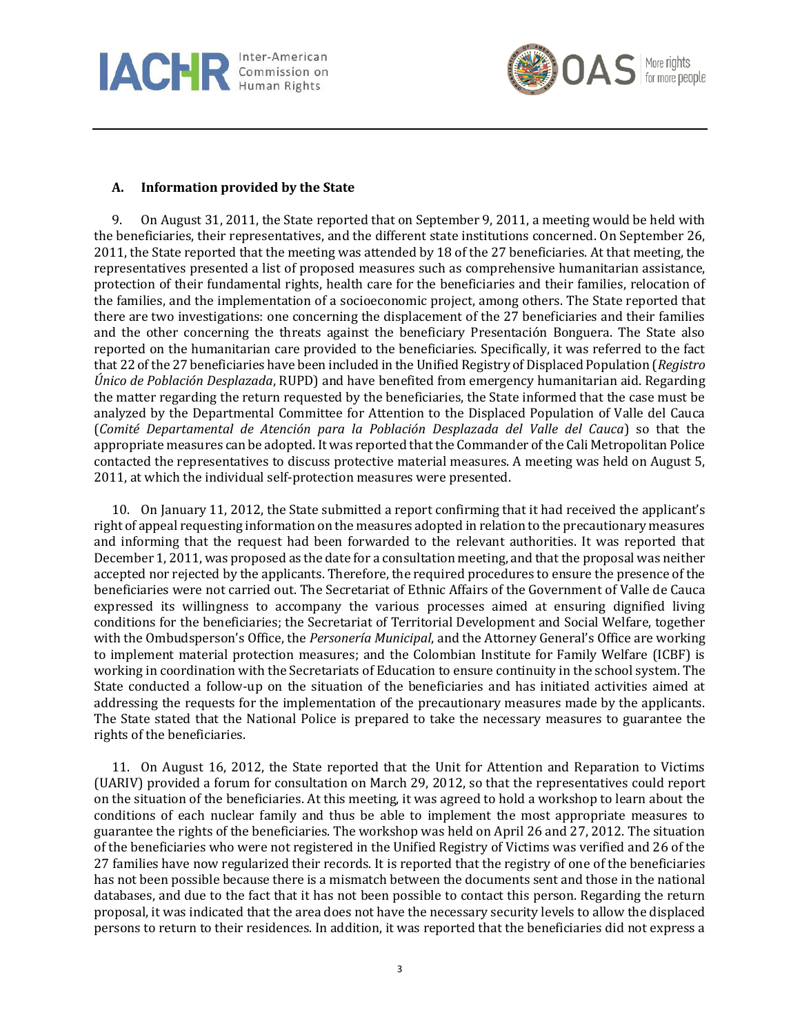



## **A. Information provided by the State**

9. On August 31, 2011, the State reported that on September 9, 2011, a meeting would be held with the beneficiaries, their representatives, and the different state institutions concerned. On September 26, 2011, the State reported that the meeting was attended by 18 of the 27 beneficiaries. At that meeting, the representatives presented a list of proposed measures such as comprehensive humanitarian assistance, protection of their fundamental rights, health care for the beneficiaries and their families, relocation of the families, and the implementation of a socioeconomic project, among others. The State reported that there are two investigations: one concerning the displacement of the 27 beneficiaries and their families and the other concerning the threats against the beneficiary Presentación Bonguera. The State also reported on the humanitarian care provided to the beneficiaries. Specifically, it was referred to the fact that 22 of the 27 beneficiaries have been included in the Unified Registry of Displaced Population (*Registro Único de Población Desplazada*, RUPD) and have benefited from emergency humanitarian aid. Regarding the matter regarding the return requested by the beneficiaries, the State informed that the case must be analyzed by the Departmental Committee for Attention to the Displaced Population of Valle del Cauca (*Comité Departamental de Atención para la Población Desplazada del Valle del Cauca*) so that the appropriate measures can be adopted. It was reported that the Commander of the Cali Metropolitan Police contacted the representatives to discuss protective material measures. A meeting was held on August 5, 2011, at which the individual self-protection measures were presented.

10. On January 11, 2012, the State submitted a report confirming that it had received the applicant's right of appeal requesting information on the measures adopted in relation to the precautionary measures and informing that the request had been forwarded to the relevant authorities. It was reported that December 1, 2011, was proposed as the date for a consultation meeting, and that the proposal was neither accepted nor rejected by the applicants. Therefore, the required procedures to ensure the presence of the beneficiaries were not carried out. The Secretariat of Ethnic Affairs of the Government of Valle de Cauca expressed its willingness to accompany the various processes aimed at ensuring dignified living conditions for the beneficiaries; the Secretariat of Territorial Development and Social Welfare, together with the Ombudsperson's Office, the *Personería Municipal*, and the Attorney General's Office are working to implement material protection measures; and the Colombian Institute for Family Welfare (ICBF) is working in coordination with the Secretariats of Education to ensure continuity in the school system. The State conducted a follow-up on the situation of the beneficiaries and has initiated activities aimed at addressing the requests for the implementation of the precautionary measures made by the applicants. The State stated that the National Police is prepared to take the necessary measures to guarantee the rights of the beneficiaries.

11. On August 16, 2012, the State reported that the Unit for Attention and Reparation to Victims (UARIV) provided a forum for consultation on March 29, 2012, so that the representatives could report on the situation of the beneficiaries. At this meeting, it was agreed to hold a workshop to learn about the conditions of each nuclear family and thus be able to implement the most appropriate measures to guarantee the rights of the beneficiaries. The workshop was held on April 26 and 27, 2012. The situation of the beneficiaries who were not registered in the Unified Registry of Victims was verified and 26 of the 27 families have now regularized their records. It is reported that the registry of one of the beneficiaries has not been possible because there is a mismatch between the documents sent and those in the national databases, and due to the fact that it has not been possible to contact this person. Regarding the return proposal, it was indicated that the area does not have the necessary security levels to allow the displaced persons to return to their residences. In addition, it was reported that the beneficiaries did not express a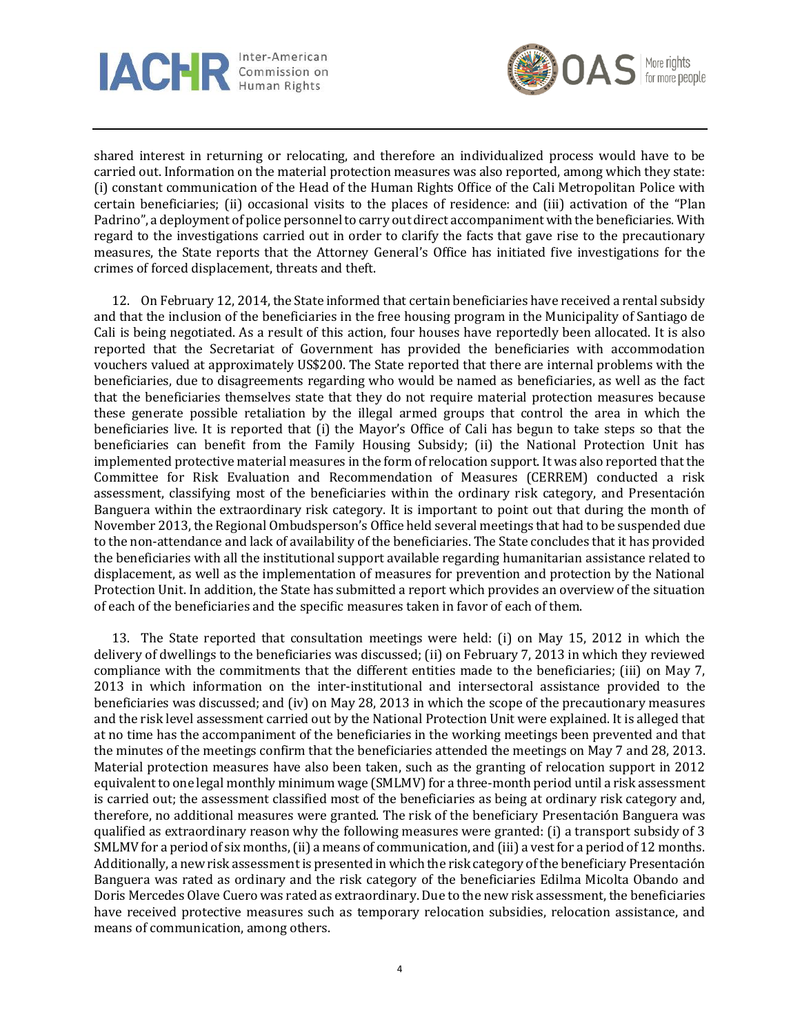



shared interest in returning or relocating, and therefore an individualized process would have to be carried out. Information on the material protection measures was also reported, among which they state: (i) constant communication of the Head of the Human Rights Office of the Cali Metropolitan Police with certain beneficiaries; (ii) occasional visits to the places of residence: and (iii) activation of the "Plan Padrino", a deployment of police personnel to carry out direct accompaniment with the beneficiaries. With regard to the investigations carried out in order to clarify the facts that gave rise to the precautionary measures, the State reports that the Attorney General's Office has initiated five investigations for the crimes of forced displacement, threats and theft.

12. On February 12, 2014, the State informed that certain beneficiaries have received a rental subsidy and that the inclusion of the beneficiaries in the free housing program in the Municipality of Santiago de Cali is being negotiated. As a result of this action, four houses have reportedly been allocated. It is also reported that the Secretariat of Government has provided the beneficiaries with accommodation vouchers valued at approximately US\$200. The State reported that there are internal problems with the beneficiaries, due to disagreements regarding who would be named as beneficiaries, as well as the fact that the beneficiaries themselves state that they do not require material protection measures because these generate possible retaliation by the illegal armed groups that control the area in which the beneficiaries live. It is reported that (i) the Mayor's Office of Cali has begun to take steps so that the beneficiaries can benefit from the Family Housing Subsidy; (ii) the National Protection Unit has implemented protective material measures in the form of relocation support. It was also reported that the Committee for Risk Evaluation and Recommendation of Measures (CERREM) conducted a risk assessment, classifying most of the beneficiaries within the ordinary risk category, and Presentación Banguera within the extraordinary risk category. It is important to point out that during the month of November 2013, the Regional Ombudsperson's Office held several meetings that had to be suspended due to the non-attendance and lack of availability of the beneficiaries. The State concludes that it has provided the beneficiaries with all the institutional support available regarding humanitarian assistance related to displacement, as well as the implementation of measures for prevention and protection by the National Protection Unit. In addition, the State has submitted a report which provides an overview of the situation of each of the beneficiaries and the specific measures taken in favor of each of them.

13. The State reported that consultation meetings were held: (i) on May 15, 2012 in which the delivery of dwellings to the beneficiaries was discussed; (ii) on February 7, 2013 in which they reviewed compliance with the commitments that the different entities made to the beneficiaries; (iii) on May 7, 2013 in which information on the inter-institutional and intersectoral assistance provided to the beneficiaries was discussed; and (iv) on May 28, 2013 in which the scope of the precautionary measures and the risk level assessment carried out by the National Protection Unit were explained. It is alleged that at no time has the accompaniment of the beneficiaries in the working meetings been prevented and that the minutes of the meetings confirm that the beneficiaries attended the meetings on May 7 and 28, 2013. Material protection measures have also been taken, such as the granting of relocation support in 2012 equivalent to one legal monthly minimum wage (SMLMV) for a three-month period until a risk assessment is carried out; the assessment classified most of the beneficiaries as being at ordinary risk category and, therefore, no additional measures were granted. The risk of the beneficiary Presentación Banguera was qualified as extraordinary reason why the following measures were granted: (i) a transport subsidy of 3 SMLMV for a period of six months, (ii) a means of communication, and (iii) a vest for a period of 12 months. Additionally, a new risk assessment is presented in which the risk category of the beneficiary Presentación Banguera was rated as ordinary and the risk category of the beneficiaries Edilma Micolta Obando and Doris Mercedes Olave Cuero was rated as extraordinary. Due to the new risk assessment, the beneficiaries have received protective measures such as temporary relocation subsidies, relocation assistance, and means of communication, among others.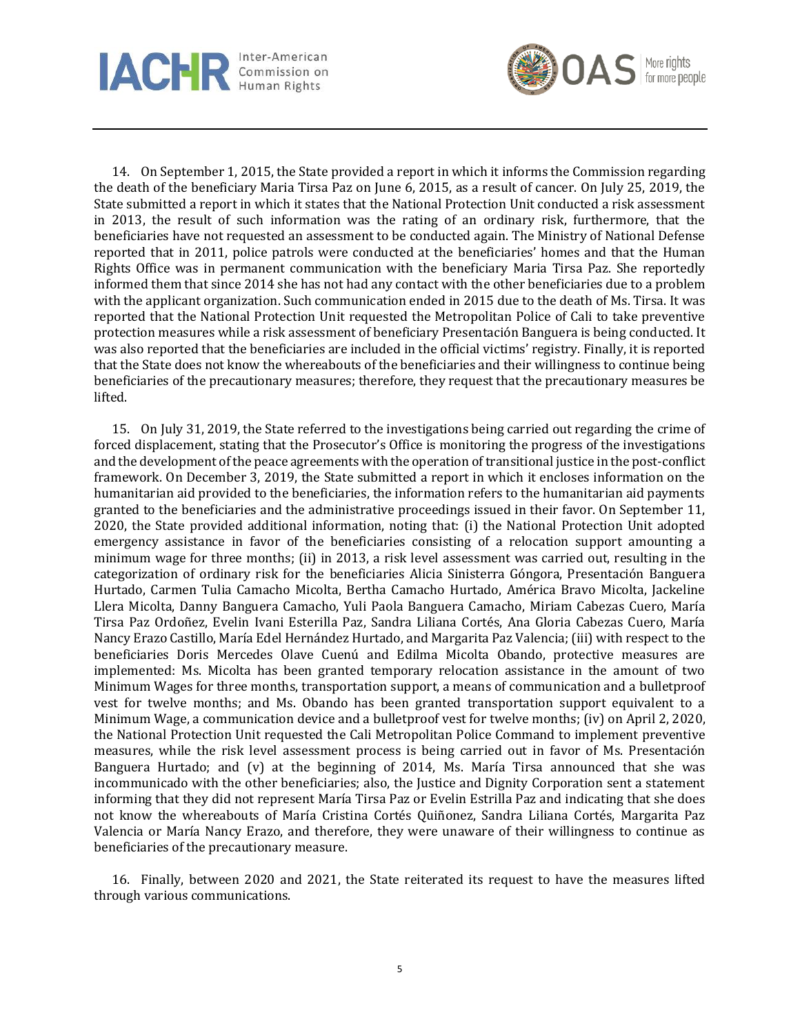



14. On September 1, 2015, the State provided a report in which it informs the Commission regarding the death of the beneficiary Maria Tirsa Paz on June 6, 2015, as a result of cancer. On July 25, 2019, the State submitted a report in which it states that the National Protection Unit conducted a risk assessment in 2013, the result of such information was the rating of an ordinary risk, furthermore, that the beneficiaries have not requested an assessment to be conducted again. The Ministry of National Defense reported that in 2011, police patrols were conducted at the beneficiaries' homes and that the Human Rights Office was in permanent communication with the beneficiary Maria Tirsa Paz. She reportedly informed them that since 2014 she has not had any contact with the other beneficiaries due to a problem with the applicant organization. Such communication ended in 2015 due to the death of Ms. Tirsa. It was reported that the National Protection Unit requested the Metropolitan Police of Cali to take preventive protection measures while a risk assessment of beneficiary Presentación Banguera is being conducted. It was also reported that the beneficiaries are included in the official victims' registry. Finally, it is reported that the State does not know the whereabouts of the beneficiaries and their willingness to continue being beneficiaries of the precautionary measures; therefore, they request that the precautionary measures be lifted.

15. On July 31, 2019, the State referred to the investigations being carried out regarding the crime of forced displacement, stating that the Prosecutor's Office is monitoring the progress of the investigations and the development of the peace agreements with the operation of transitional justice in the post-conflict framework. On December 3, 2019, the State submitted a report in which it encloses information on the humanitarian aid provided to the beneficiaries, the information refers to the humanitarian aid payments granted to the beneficiaries and the administrative proceedings issued in their favor. On September 11, 2020, the State provided additional information, noting that: (i) the National Protection Unit adopted emergency assistance in favor of the beneficiaries consisting of a relocation support amounting a minimum wage for three months; (ii) in 2013, a risk level assessment was carried out, resulting in the categorization of ordinary risk for the beneficiaries Alicia Sinisterra Góngora, Presentación Banguera Hurtado, Carmen Tulia Camacho Micolta, Bertha Camacho Hurtado, América Bravo Micolta, Jackeline Llera Micolta, Danny Banguera Camacho, Yuli Paola Banguera Camacho, Miriam Cabezas Cuero, María Tirsa Paz Ordoñez, Evelin Ivani Esterilla Paz, Sandra Liliana Cortés, Ana Gloria Cabezas Cuero, María Nancy Erazo Castillo, María Edel Hernández Hurtado, and Margarita Paz Valencia; (iii) with respect to the beneficiaries Doris Mercedes Olave Cuenú and Edilma Micolta Obando, protective measures are implemented: Ms. Micolta has been granted temporary relocation assistance in the amount of two Minimum Wages for three months, transportation support, a means of communication and a bulletproof vest for twelve months; and Ms. Obando has been granted transportation support equivalent to a Minimum Wage, a communication device and a bulletproof vest for twelve months; (iv) on April 2, 2020, the National Protection Unit requested the Cali Metropolitan Police Command to implement preventive measures, while the risk level assessment process is being carried out in favor of Ms. Presentación Banguera Hurtado; and  $(v)$  at the beginning of 2014, Ms. María Tirsa announced that she was incommunicado with the other beneficiaries; also, the Justice and Dignity Corporation sent a statement informing that they did not represent María Tirsa Paz or Evelin Estrilla Paz and indicating that she does not know the whereabouts of María Cristina Cortés Quiñonez, Sandra Liliana Cortés, Margarita Paz Valencia or María Nancy Erazo, and therefore, they were unaware of their willingness to continue as beneficiaries of the precautionary measure.

16. Finally, between 2020 and 2021, the State reiterated its request to have the measures lifted through various communications.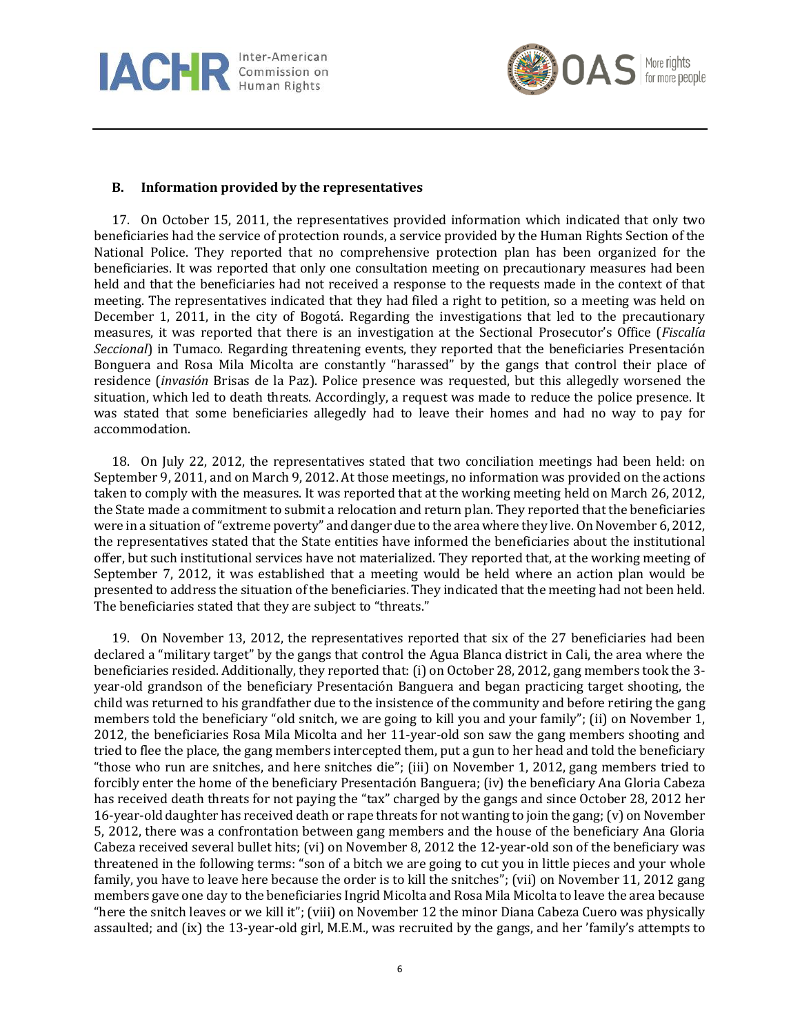



### **B. Information provided by the representatives**

17. On October 15, 2011, the representatives provided information which indicated that only two beneficiaries had the service of protection rounds, a service provided by the Human Rights Section of the National Police. They reported that no comprehensive protection plan has been organized for the beneficiaries. It was reported that only one consultation meeting on precautionary measures had been held and that the beneficiaries had not received a response to the requests made in the context of that meeting. The representatives indicated that they had filed a right to petition, so a meeting was held on December 1, 2011, in the city of Bogotá. Regarding the investigations that led to the precautionary measures, it was reported that there is an investigation at the Sectional Prosecutor's Office (*Fiscalía Seccional*) in Tumaco. Regarding threatening events, they reported that the beneficiaries Presentación Bonguera and Rosa Mila Micolta are constantly "harassed" by the gangs that control their place of residence (*invasión* Brisas de la Paz). Police presence was requested, but this allegedly worsened the situation, which led to death threats. Accordingly, a request was made to reduce the police presence. It was stated that some beneficiaries allegedly had to leave their homes and had no way to pay for accommodation.

18. On July 22, 2012, the representatives stated that two conciliation meetings had been held: on September 9, 2011, and on March 9, 2012. At those meetings, no information was provided on the actions taken to comply with the measures. It was reported that at the working meeting held on March 26, 2012, the State made a commitment to submit a relocation and return plan. They reported that the beneficiaries were in a situation of "extreme poverty" and danger due to the area where they live. On November 6, 2012, the representatives stated that the State entities have informed the beneficiaries about the institutional offer, but such institutional services have not materialized. They reported that, at the working meeting of September 7, 2012, it was established that a meeting would be held where an action plan would be presented to address the situation of the beneficiaries. They indicated that the meeting had not been held. The beneficiaries stated that they are subject to "threats."

19. On November 13, 2012, the representatives reported that six of the 27 beneficiaries had been declared a "military target" by the gangs that control the Agua Blanca district in Cali, the area where the beneficiaries resided. Additionally, they reported that: (i) on October 28, 2012, gang members took the 3 year-old grandson of the beneficiary Presentación Banguera and began practicing target shooting, the child was returned to his grandfather due to the insistence of the community and before retiring the gang members told the beneficiary "old snitch, we are going to kill you and your family"; (ii) on November 1, 2012, the beneficiaries Rosa Mila Micolta and her 11-year-old son saw the gang members shooting and tried to flee the place, the gang members intercepted them, put a gun to her head and told the beneficiary "those who run are snitches, and here snitches die"; (iii) on November 1, 2012, gang members tried to forcibly enter the home of the beneficiary Presentación Banguera; (iv) the beneficiary Ana Gloria Cabeza has received death threats for not paying the "tax" charged by the gangs and since October 28, 2012 her 16-year-old daughter has received death or rape threats for not wanting to join the gang; (v) on November 5, 2012, there was a confrontation between gang members and the house of the beneficiary Ana Gloria Cabeza received several bullet hits; (vi) on November 8, 2012 the 12-year-old son of the beneficiary was threatened in the following terms: "son of a bitch we are going to cut you in little pieces and your whole family, you have to leave here because the order is to kill the snitches"; (vii) on November 11, 2012 gang members gave one day to the beneficiaries Ingrid Micolta and Rosa Mila Micolta to leave the area because "here the snitch leaves or we kill it"; (viii) on November 12 the minor Diana Cabeza Cuero was physically assaulted; and (ix) the 13-year-old girl, M.E.M., was recruited by the gangs, and her 'family's attempts to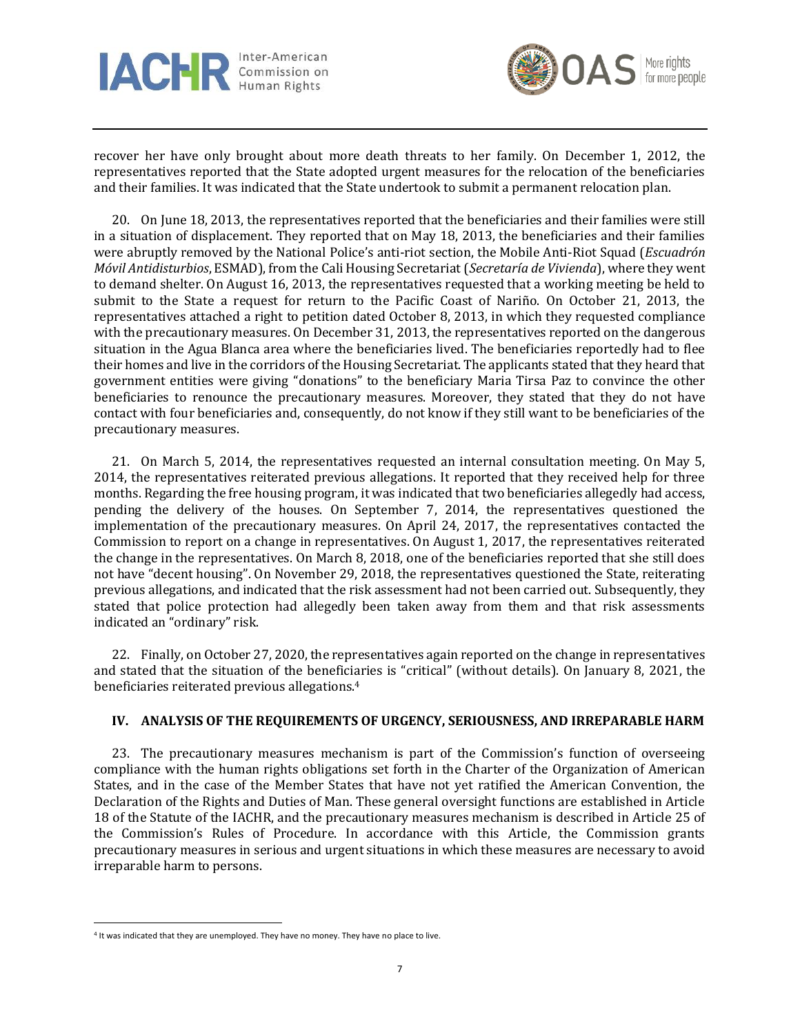



recover her have only brought about more death threats to her family. On December 1, 2012, the representatives reported that the State adopted urgent measures for the relocation of the beneficiaries and their families. It was indicated that the State undertook to submit a permanent relocation plan.

20. On June 18, 2013, the representatives reported that the beneficiaries and their families were still in a situation of displacement. They reported that on May 18, 2013, the beneficiaries and their families were abruptly removed by the National Police's anti-riot section, the Mobile Anti-Riot Squad (*Escuadrón Móvil Antidisturbios*, ESMAD), from the Cali Housing Secretariat (*Secretaría de Vivienda*), where they went to demand shelter. On August 16, 2013, the representatives requested that a working meeting be held to submit to the State a request for return to the Pacific Coast of Nariño. On October 21, 2013, the representatives attached a right to petition dated October 8, 2013, in which they requested compliance with the precautionary measures. On December 31, 2013, the representatives reported on the dangerous situation in the Agua Blanca area where the beneficiaries lived. The beneficiaries reportedly had to flee their homes and live in the corridors of the Housing Secretariat. The applicants stated that they heard that government entities were giving "donations" to the beneficiary Maria Tirsa Paz to convince the other beneficiaries to renounce the precautionary measures. Moreover, they stated that they do not have contact with four beneficiaries and, consequently, do not know if they still want to be beneficiaries of the precautionary measures.

21. On March 5, 2014, the representatives requested an internal consultation meeting. On May 5, 2014, the representatives reiterated previous allegations. It reported that they received help for three months. Regarding the free housing program, it was indicated that two beneficiaries allegedly had access, pending the delivery of the houses. On September 7, 2014, the representatives questioned the implementation of the precautionary measures. On April 24, 2017, the representatives contacted the Commission to report on a change in representatives. On August 1, 2017, the representatives reiterated the change in the representatives. On March 8, 2018, one of the beneficiaries reported that she still does not have "decent housing". On November 29, 2018, the representatives questioned the State, reiterating previous allegations, and indicated that the risk assessment had not been carried out. Subsequently, they stated that police protection had allegedly been taken away from them and that risk assessments indicated an "ordinary" risk.

22. Finally, on October 27, 2020, the representatives again reported on the change in representatives and stated that the situation of the beneficiaries is "critical" (without details). On January 8, 2021, the beneficiaries reiterated previous allegations.<sup>4</sup>

### **IV. ANALYSIS OF THE REQUIREMENTS OF URGENCY, SERIOUSNESS, AND IRREPARABLE HARM**

23. The precautionary measures mechanism is part of the Commission's function of overseeing compliance with the human rights obligations set forth in the Charter of the Organization of American States, and in the case of the Member States that have not yet ratified the American Convention, the Declaration of the Rights and Duties of Man. These general oversight functions are established in Article 18 of the Statute of the IACHR, and the precautionary measures mechanism is described in Article 25 of the Commission's Rules of Procedure. In accordance with this Article, the Commission grants precautionary measures in serious and urgent situations in which these measures are necessary to avoid irreparable harm to persons.

<sup>4</sup> It was indicated that they are unemployed. They have no money. They have no place to live.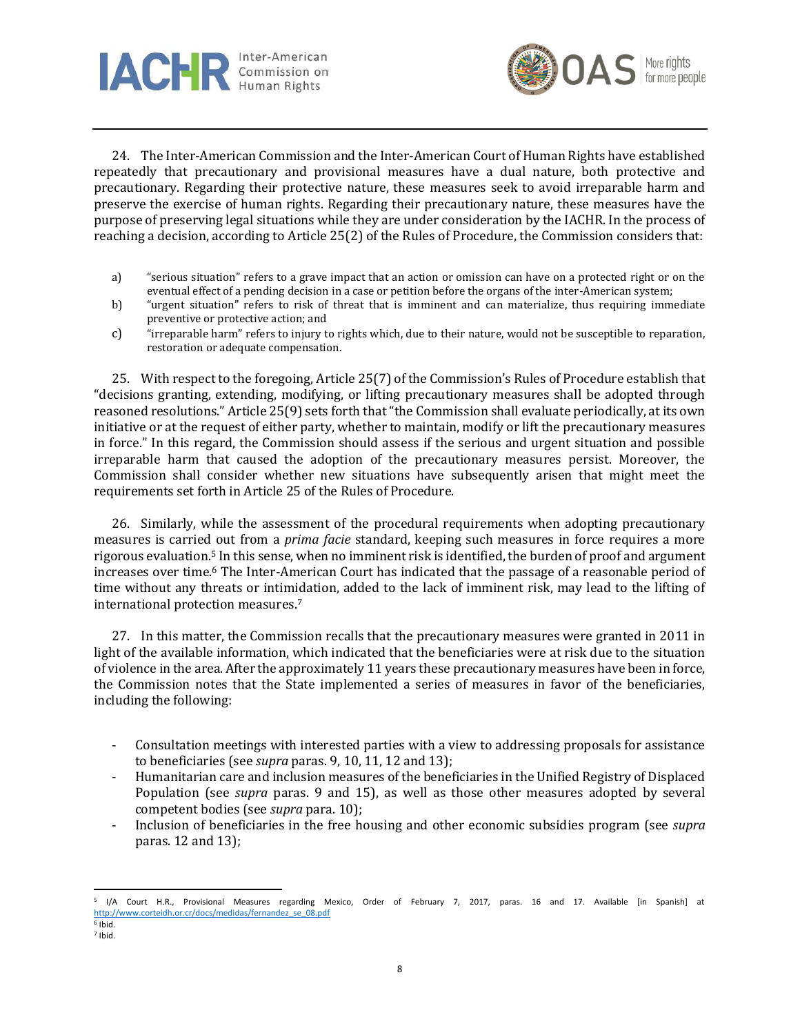



24. The Inter-American Commission and the Inter-American Court of Human Rights have established repeatedly that precautionary and provisional measures have a dual nature, both protective and precautionary. Regarding their protective nature, these measures seek to avoid irreparable harm and preserve the exercise of human rights. Regarding their precautionary nature, these measures have the purpose of preserving legal situations while they are under consideration by the IACHR. In the process of reaching a decision, according to Article 25(2) of the Rules of Procedure, the Commission considers that:

- a) "serious situation" refers to a grave impact that an action or omission can have on a protected right or on the eventual effect of a pending decision in a case or petition before the organs of the inter-American system;
- b) "urgent situation" refers to risk of threat that is imminent and can materialize, thus requiring immediate preventive or protective action; and
- c) "irreparable harm" refers to injury to rights which, due to their nature, would not be susceptible to reparation, restoration or adequate compensation.

25. With respect to the foregoing, Article 25(7) of the Commission's Rules of Procedure establish that "decisions granting, extending, modifying, or lifting precautionary measures shall be adopted through reasoned resolutions." Article 25(9) sets forth that "the Commission shall evaluate periodically, at its own initiative or at the request of either party, whether to maintain, modify or lift the precautionary measures in force." In this regard, the Commission should assess if the serious and urgent situation and possible irreparable harm that caused the adoption of the precautionary measures persist. Moreover, the Commission shall consider whether new situations have subsequently arisen that might meet the requirements set forth in Article 25 of the Rules of Procedure.

26. Similarly, while the assessment of the procedural requirements when adopting precautionary measures is carried out from a *prima facie* standard, keeping such measures in force requires a more rigorous evaluation.<sup>5</sup> In this sense, when no imminent risk is identified, the burden of proof and argument increases over time.<sup>6</sup> The Inter-American Court has indicated that the passage of a reasonable period of time without any threats or intimidation, added to the lack of imminent risk, may lead to the lifting of international protection measures.<sup>7</sup>

27. In this matter, the Commission recalls that the precautionary measures were granted in 2011 in light of the available information, which indicated that the beneficiaries were at risk due to the situation of violence in the area. After the approximately 11 years these precautionary measures have been in force, the Commission notes that the State implemented a series of measures in favor of the beneficiaries, including the following:

- Consultation meetings with interested parties with a view to addressing proposals for assistance to beneficiaries (see *supra* paras. 9, 10, 11, 12 and 13);
- Humanitarian care and inclusion measures of the beneficiaries in the Unified Registry of Displaced Population (see *supra* paras. 9 and 15), as well as those other measures adopted by several competent bodies (see *supra* para. 10);
- Inclusion of beneficiaries in the free housing and other economic subsidies program (see *supra* paras. 12 and 13);

<sup>5</sup> I/A Court H.R., Provisional Measures regarding Mexico, Order of February 7, 2017, paras. 16 and 17. Available [in Spanish] at [http://www.corteidh.or.cr/docs/medidas/fernandez\\_se\\_08.pdf](https://www.corteidh.or.cr/docs/medidas/fernandez_se_08.pdf)

<sup>6</sup> Ibid. 7 Ibid.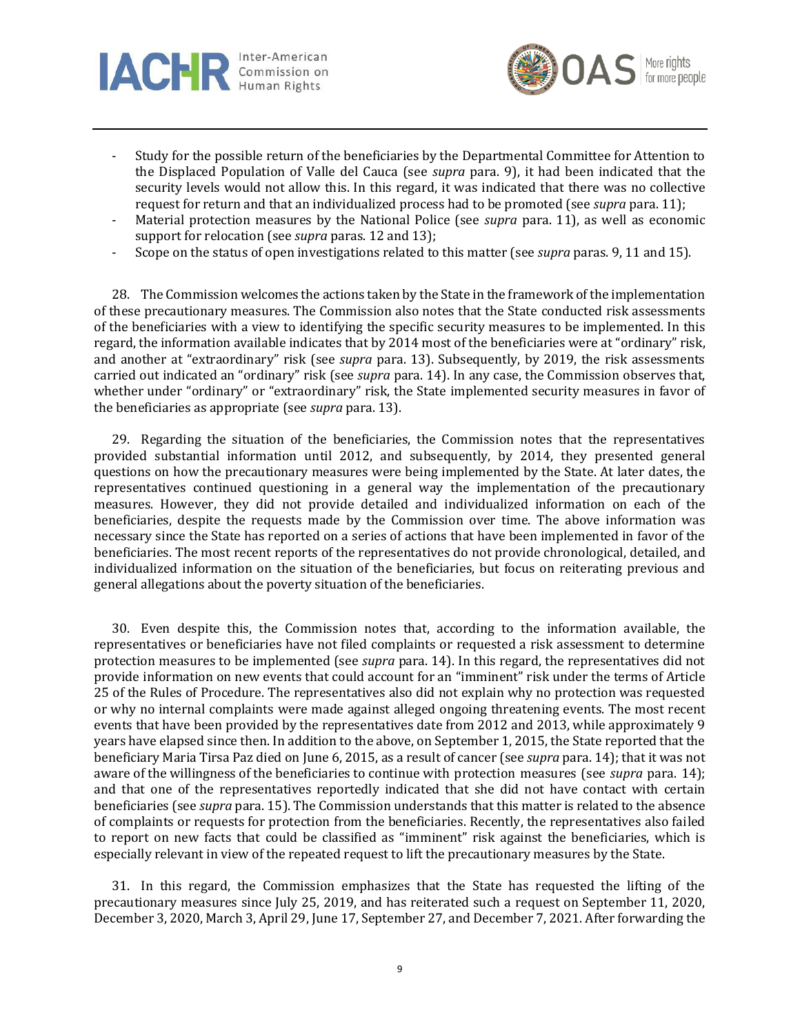



- Study for the possible return of the beneficiaries by the Departmental Committee for Attention to the Displaced Population of Valle del Cauca (see *supra* para. 9), it had been indicated that the security levels would not allow this. In this regard, it was indicated that there was no collective request for return and that an individualized process had to be promoted (see *supra* para. 11);
- Material protection measures by the National Police (see *supra* para. 11), as well as economic support for relocation (see *supra* paras. 12 and 13);
- Scope on the status of open investigations related to this matter (see *supra* paras. 9, 11 and 15).

28. The Commission welcomes the actions taken by the State in the framework of the implementation of these precautionary measures. The Commission also notes that the State conducted risk assessments of the beneficiaries with a view to identifying the specific security measures to be implemented. In this regard, the information available indicates that by 2014 most of the beneficiaries were at "ordinary" risk, and another at "extraordinary" risk (see *supra* para. 13). Subsequently, by 2019, the risk assessments carried out indicated an "ordinary" risk (see *supra* para. 14). In any case, the Commission observes that, whether under "ordinary" or "extraordinary" risk, the State implemented security measures in favor of the beneficiaries as appropriate (see *supra* para. 13).

29. Regarding the situation of the beneficiaries, the Commission notes that the representatives provided substantial information until 2012, and subsequently, by 2014, they presented general questions on how the precautionary measures were being implemented by the State. At later dates, the representatives continued questioning in a general way the implementation of the precautionary measures. However, they did not provide detailed and individualized information on each of the beneficiaries, despite the requests made by the Commission over time. The above information was necessary since the State has reported on a series of actions that have been implemented in favor of the beneficiaries. The most recent reports of the representatives do not provide chronological, detailed, and individualized information on the situation of the beneficiaries, but focus on reiterating previous and general allegations about the poverty situation of the beneficiaries.

30. Even despite this, the Commission notes that, according to the information available, the representatives or beneficiaries have not filed complaints or requested a risk assessment to determine protection measures to be implemented (see *supra* para. 14). In this regard, the representatives did not provide information on new events that could account for an "imminent" risk under the terms of Article 25 of the Rules of Procedure. The representatives also did not explain why no protection was requested or why no internal complaints were made against alleged ongoing threatening events. The most recent events that have been provided by the representatives date from 2012 and 2013, while approximately 9 years have elapsed since then. In addition to the above, on September 1, 2015, the State reported that the beneficiary Maria Tirsa Paz died on June 6, 2015, as a result of cancer (see *supra* para. 14); that it was not aware of the willingness of the beneficiaries to continue with protection measures (see *supra* para. 14); and that one of the representatives reportedly indicated that she did not have contact with certain beneficiaries (see *supra* para. 15). The Commission understands that this matter is related to the absence of complaints or requests for protection from the beneficiaries. Recently, the representatives also failed to report on new facts that could be classified as "imminent" risk against the beneficiaries, which is especially relevant in view of the repeated request to lift the precautionary measures by the State.

31. In this regard, the Commission emphasizes that the State has requested the lifting of the precautionary measures since July 25, 2019, and has reiterated such a request on September 11, 2020, December 3, 2020, March 3, April 29, June 17, September 27, and December 7, 2021. After forwarding the